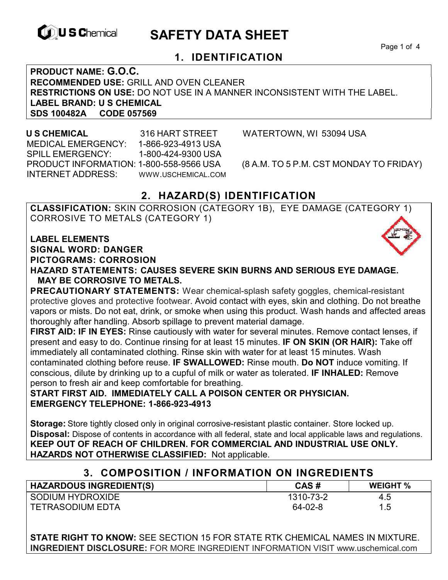

# **EXAGREM** SAFETY DATA SHEET

Page 1 of 4

### **1. IDENTIFICATION**

**PRODUCT NAME: G.O.C. RECOMMENDED USE:** GRILL AND OVEN CLEANER **RESTRICTIONS ON USE:** DO NOT USE IN A MANNER INCONSISTENT WITH THE LABEL. **LABEL BRAND: U S CHEMICAL SDS 100482A CODE 057569** 

 **U S CHEMICAL** 316 HART STREET WATERTOWN, WI 53094 USA MEDICAL EMERGENCY: 1-866-923-4913 USA SPILL EMERGENCY: 1-800-424-9300 USA PRODUCT INFORMATION: 1-800-558-9566 USA (8 A.M. TO 5 P.M. CST MONDAY TO FRIDAY) INTERNET ADDRESS: WWW.USCHEMICAL.COM

### **2. HAZARD(S) IDENTIFICATION**

**CLASSIFICATION:** SKIN CORROSION (CATEGORY 1B), EYE DAMAGE (CATEGORY 1) CORROSIVE TO METALS (CATEGORY 1)

**LABEL ELEMENTS SIGNAL WORD: DANGER PICTOGRAMS: CORROSION**

**HAZARD STATEMENTS: CAUSES SEVERE SKIN BURNS AND SERIOUS EYE DAMAGE. MAY BE CORROSIVE TO METALS.** 

**PRECAUTIONARY STATEMENTS:** Wear chemical-splash safety goggles, chemical-resistant protective gloves and protective footwear. Avoid contact with eyes, skin and clothing. Do not breathe vapors or mists. Do not eat, drink, or smoke when using this product. Wash hands and affected areas thoroughly after handling. Absorb spillage to prevent material damage.

**FIRST AID: IF IN EYES:** Rinse cautiously with water for several minutes. Remove contact lenses, if present and easy to do. Continue rinsing for at least 15 minutes. **IF ON SKIN (OR HAIR):** Take off immediately all contaminated clothing. Rinse skin with water for at least 15 minutes. Wash contaminated clothing before reuse. **IF SWALLOWED:** Rinse mouth. **Do NOT** induce vomiting. If conscious, dilute by drinking up to a cupful of milk or water as tolerated. **IF INHALED:** Remove person to fresh air and keep comfortable for breathing.

**START FIRST AID. IMMEDIATELY CALL A POISON CENTER OR PHYSICIAN. EMERGENCY TELEPHONE: 1-866-923-4913** 

**Storage:** Store tightly closed only in original corrosive-resistant plastic container. Store locked up. **Disposal:** Dispose of contents in accordance with all federal, state and local applicable laws and regulations. **KEEP OUT OF REACH OF CHILDREN. FOR COMMERCIAL AND INDUSTRIAL USE ONLY. HAZARDS NOT OTHERWISE CLASSIFIED:** Not applicable.

### **3. COMPOSITION / INFORMATION ON INGREDIENTS**

| <b>HAZARDOUS INGREDIENT(S)</b> | CAS#      | <b>WEIGHT</b> % |
|--------------------------------|-----------|-----------------|
| SODIUM HYDROXIDE               | 1310-73-2 | 4.5             |
| <b>TETRASODIUM EDTA</b>        | 64-02-8   | 1.5             |

**STATE RIGHT TO KNOW:** SEE SECTION 15 FOR STATE RTK CHEMICAL NAMES IN MIXTURE. **INGREDIENT DISCLOSURE:** FOR MORE INGREDIENT INFORMATION VISIT www.uschemical.com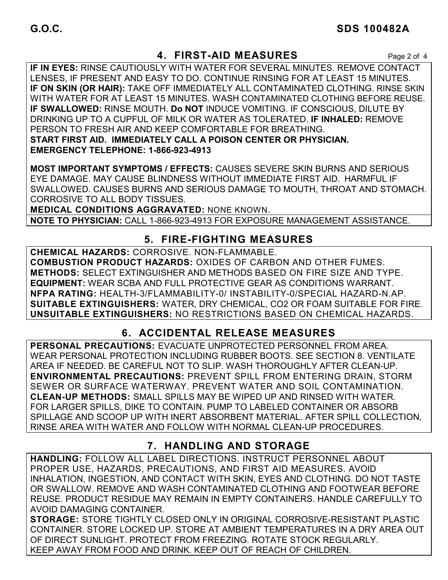### **4. FIRST-AID MEASURES** Page 2 of 4

**IF IN EYES:** RINSE CAUTIOUSLY WITH WATER FOR SEVERAL MINUTES. REMOVE CONTACT LENSES, IF PRESENT AND EASY TO DO. CONTINUE RINSING FOR AT LEAST 15 MINUTES. **IF ON SKIN (OR HAIR):** TAKE OFF IMMEDIATELY ALL CONTAMINATED CLOTHING. RINSE SKIN WITH WATER FOR AT LEAST 15 MINUTES. WASH CONTAMINATED CLOTHING BEFORE REUSE. **IF SWALLOWED:** RINSE MOUTH. **Do NOT** INDUCE VOMITING. IF CONSCIOUS, DILUTE BY DRINKING UP TO A CUPFUL OF MILK OR WATER AS TOLERATED. **IF INHALED:** REMOVE PERSON TO FRESH AIR AND KEEP COMFORTABLE FOR BREATHING. **START FIRST AID. IMMEDIATELY CALL A POISON CENTER OR PHYSICIAN. EMERGENCY TELEPHONE: 1-866-923-4913**

**MOST IMPORTANT SYMPTOMS / EFFECTS:** CAUSES SEVERE SKIN BURNS AND SERIOUS EYE DAMAGE. MAY CAUSE BLINDNESS WITHOUT IMMEDIATE FIRST AID. HARMFUL IF SWALLOWED. CAUSES BURNS AND SERIOUS DAMAGE TO MOUTH, THROAT AND STOMACH. CORROSIVE TO ALL BODY TISSUES.

**MEDICAL CONDITIONS AGGRAVATED:** NONE KNOWN.

**NOTE TO PHYSICIAN:** CALL 1-866-923-4913 FOR EXPOSURE MANAGEMENT ASSISTANCE.

### **5. FIRE-FIGHTING MEASURES**

**CHEMICAL HAZARDS:** CORROSIVE. NON-FLAMMABLE. **COMBUSTION PRODUCT HAZARDS:** OXIDES OF CARBON AND OTHER FUMES. **METHODS:** SELECT EXTINGUISHER AND METHODS BASED ON FIRE SIZE AND TYPE. **EQUIPMENT:** WEAR SCBA AND FULL PROTECTIVE GEAR AS CONDITIONS WARRANT. **NFPA RATING:** HEALTH-3/FLAMMABILITY-0/ INSTABILITY-0/SPECIAL HAZARD-N.AP. **SUITABLE EXTINGUISHERS:** WATER, DRY CHEMICAL, CO2 OR FOAM SUITABLE FOR FIRE. **UNSUITABLE EXTINGUISHERS:** NO RESTRICTIONS BASED ON CHEMICAL HAZARDS.

### **6. ACCIDENTAL RELEASE MEASURES**

**PERSONAL PRECAUTIONS:** EVACUATE UNPROTECTED PERSONNEL FROM AREA. WEAR PERSONAL PROTECTION INCLUDING RUBBER BOOTS. SEE SECTION 8. VENTILATE AREA IF NEEDED. BE CAREFUL NOT TO SLIP. WASH THOROUGHLY AFTER CLEAN-UP. **ENVIRONMENTAL PRECAUTIONS:** PREVENT SPILL FROM ENTERING DRAIN, STORM SEWER OR SURFACE WATERWAY. PREVENT WATER AND SOIL CONTAMINATION. **CLEAN-UP METHODS:** SMALL SPILLS MAY BE WIPED UP AND RINSED WITH WATER. FOR LARGER SPILLS, DIKE TO CONTAIN. PUMP TO LABELED CONTAINER OR ABSORB SPILLAGE AND SCOOP UP WITH INERT ABSORBENT MATERIAL. AFTER SPILL COLLECTION, RINSE AREA WITH WATER AND FOLLOW WITH NORMAL CLEAN-UP PROCEDURES.

### **7. HANDLING AND STORAGE**

**HANDLING:** FOLLOW ALL LABEL DIRECTIONS. INSTRUCT PERSONNEL ABOUT PROPER USE, HAZARDS, PRECAUTIONS, AND FIRST AID MEASURES. AVOID INHALATION, INGESTION, AND CONTACT WITH SKIN, EYES AND CLOTHING. DO NOT TASTE OR SWALLOW. REMOVE AND WASH CONTAMINATED CLOTHING AND FOOTWEAR BEFORE REUSE. PRODUCT RESIDUE MAY REMAIN IN EMPTY CONTAINERS. HANDLE CAREFULLY TO AVOID DAMAGING CONTAINER.

**STORAGE:** STORE TIGHTLY CLOSED ONLY IN ORIGINAL CORROSIVE-RESISTANT PLASTIC CONTAINER. STORE LOCKED UP. STORE AT AMBIENT TEMPERATURES IN A DRY AREA OUT OF DIRECT SUNLIGHT. PROTECT FROM FREEZING. ROTATE STOCK REGULARLY. KEEP AWAY FROM FOOD AND DRINK. KEEP OUT OF REACH OF CHILDREN.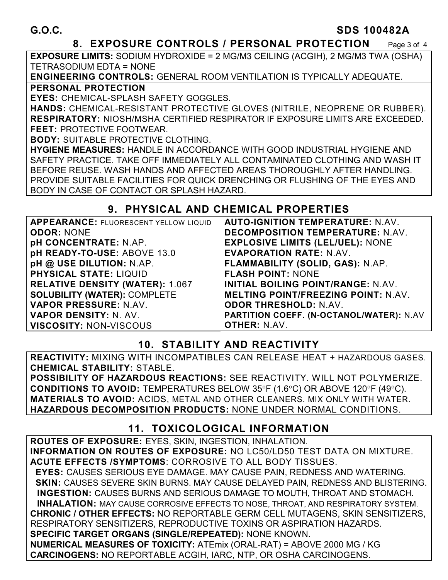### **8. EXPOSURE CONTROLS / PERSONAL PROTECTION** Page 3 of 4

**EXPOSURE LIMITS:** SODIUM HYDROXIDE = 2 MG/M3 CEILING (ACGIH), 2 MG/M3 TWA (OSHA) TETRASODIUM EDTA = NONE

**ENGINEERING CONTROLS:** GENERAL ROOM VENTILATION IS TYPICALLY ADEQUATE. **PERSONAL PROTECTION** 

**EYES:** CHEMICAL-SPLASH SAFETY GOGGLES.

**HANDS:** CHEMICAL-RESISTANT PROTECTIVE GLOVES (NITRILE, NEOPRENE OR RUBBER). **RESPIRATORY:** NIOSH/MSHA CERTIFIED RESPIRATOR IF EXPOSURE LIMITS ARE EXCEEDED. **FEET:** PROTECTIVE FOOTWEAR.

**BODY:** SUITABLE PROTECTIVE CLOTHING.

**HYGIENE MEASURES:** HANDLE IN ACCORDANCE WITH GOOD INDUSTRIAL HYGIENE AND SAFETY PRACTICE. TAKE OFF IMMEDIATELY ALL CONTAMINATED CLOTHING AND WASH IT BEFORE REUSE. WASH HANDS AND AFFECTED AREAS THOROUGHLY AFTER HANDLING. PROVIDE SUITABLE FACILITIES FOR QUICK DRENCHING OR FLUSHING OF THE EYES AND BODY IN CASE OF CONTACT OR SPLASH HAZARD.

### **9. PHYSICAL AND CHEMICAL PROPERTIES**

| <b>APPEARANCE: FLUORESCENT YELLOW LIQUID</b> | <b>AUTO-IGNITION TEMPERATURE: N.AV.</b>    |
|----------------------------------------------|--------------------------------------------|
| <b>ODOR: NONE</b>                            | <b>DECOMPOSITION TEMPERATURE: N.AV.</b>    |
| <b>pH CONCENTRATE: N.AP.</b>                 | <b>EXPLOSIVE LIMITS (LEL/UEL): NONE</b>    |
| pH READY-TO-USE: ABOVE 13.0                  | <b>EVAPORATION RATE: N.AV.</b>             |
| pH @ USE DILUTION: N.AP.                     | FLAMMABILITY (SOLID, GAS): N.AP.           |
| <b>PHYSICAL STATE: LIQUID</b>                | <b>FLASH POINT: NONE</b>                   |
| <b>RELATIVE DENSITY (WATER): 1.067</b>       | INITIAL BOILING POINT/RANGE: N.AV.         |
| <b>SOLUBILITY (WATER): COMPLETE</b>          | <b>MELTING POINT/FREEZING POINT: N.AV.</b> |
| VAPOR PRESSURE: N.AV.                        | <b>ODOR THRESHOLD: N.AV.</b>               |
| <b>VAPOR DENSITY: N. AV.</b>                 | PARTITION COEFF. (N-OCTANOL/WATER): N.AV   |
| <b>VISCOSITY: NON-VISCOUS</b>                | <b>OTHER: N.AV.</b>                        |

## **10. STABILITY AND REACTIVITY**

**REACTIVITY:** MIXING WITH INCOMPATIBLES CAN RELEASE HEAT + HAZARDOUS GASES. **CHEMICAL STABILITY:** STABLE.

**POSSIBILITY OF HAZARDOUS REACTIONS:** SEE REACTIVITY. WILL NOT POLYMERIZE. **CONDITIONS TO AVOID:** TEMPERATURES BELOW 35°F (1.6°C) OR ABOVE 120°F (49°C). **MATERIALS TO AVOID:** ACIDS, METAL AND OTHER CLEANERS. MIX ONLY WITH WATER. **HAZARDOUS DECOMPOSITION PRODUCTS:** NONE UNDER NORMAL CONDITIONS.

## **11. TOXICOLOGICAL INFORMATION**

**ROUTES OF EXPOSURE:** EYES, SKIN, INGESTION, INHALATION. **INFORMATION ON ROUTES OF EXPOSURE:** NO LC50/LD50 TEST DATA ON MIXTURE. **ACUTE EFFECTS /SYMPTOMS**: CORROSIVE TO ALL BODY TISSUES.  **EYES:** CAUSES SERIOUS EYE DAMAGE. MAY CAUSE PAIN, REDNESS AND WATERING.  **SKIN:** CAUSES SEVERE SKIN BURNS. MAY CAUSE DELAYED PAIN, REDNESS AND BLISTERING. **INGESTION:** CAUSES BURNS AND SERIOUS DAMAGE TO MOUTH, THROAT AND STOMACH. **INHALATION:** MAY CAUSE CORROSIVE EFFECTS TO NOSE, THROAT, AND RESPIRATORY SYSTEM. **CHRONIC / OTHER EFFECTS:** NO REPORTABLE GERM CELL MUTAGENS, SKIN SENSITIZERS, RESPIRATORY SENSITIZERS, REPRODUCTIVE TOXINS OR ASPIRATION HAZARDS. **SPECIFIC TARGET ORGANS (SINGLE/REPEATED):** NONE KNOWN.

**NUMERICAL MEASURES OF TOXICITY:** ATEmix (ORAL-RAT) = ABOVE 2000 MG / KG **CARCINOGENS:** NO REPORTABLE ACGIH, IARC, NTP, OR OSHA CARCINOGENS.